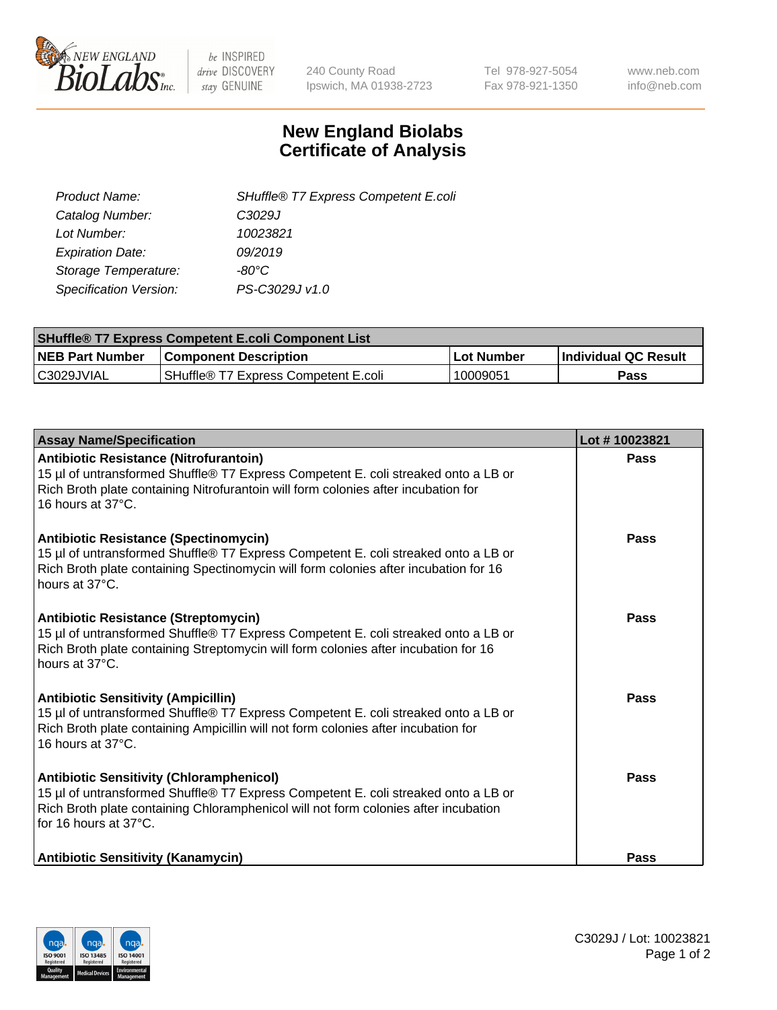

 $be$  INSPIRED drive DISCOVERY stay GENUINE

240 County Road Ipswich, MA 01938-2723 Tel 978-927-5054 Fax 978-921-1350 www.neb.com info@neb.com

## **New England Biolabs Certificate of Analysis**

| SHuffle® T7 Express Competent E.coli |
|--------------------------------------|
| C <sub>3029</sub> J                  |
| 10023821                             |
| 09/2019                              |
| -80°C.                               |
| PS-C3029J v1.0                       |
|                                      |

| <b>SHuffle<sup>®</sup> T7 Express Competent E.coli Component List</b> |                                      |            |                             |  |
|-----------------------------------------------------------------------|--------------------------------------|------------|-----------------------------|--|
| <b>NEB Part Number</b>                                                | <b>Component Description</b>         | Lot Number | <b>Individual QC Result</b> |  |
| C3029JVIAL                                                            | SHuffle® T7 Express Competent E.coli | 10009051   | Pass                        |  |

| <b>Assay Name/Specification</b>                                                                                                                                                                                                                       | Lot #10023821 |
|-------------------------------------------------------------------------------------------------------------------------------------------------------------------------------------------------------------------------------------------------------|---------------|
| <b>Antibiotic Resistance (Nitrofurantoin)</b><br>15 µl of untransformed Shuffle® T7 Express Competent E. coli streaked onto a LB or<br>Rich Broth plate containing Nitrofurantoin will form colonies after incubation for<br>16 hours at 37°C.        | Pass          |
| <b>Antibiotic Resistance (Spectinomycin)</b><br>15 µl of untransformed Shuffle® T7 Express Competent E. coli streaked onto a LB or<br>Rich Broth plate containing Spectinomycin will form colonies after incubation for 16<br>hours at 37°C.          | Pass          |
| <b>Antibiotic Resistance (Streptomycin)</b><br>15 µl of untransformed Shuffle® T7 Express Competent E. coli streaked onto a LB or<br>Rich Broth plate containing Streptomycin will form colonies after incubation for 16<br>hours at 37°C.            | Pass          |
| <b>Antibiotic Sensitivity (Ampicillin)</b><br>15 µl of untransformed Shuffle® T7 Express Competent E. coli streaked onto a LB or<br>Rich Broth plate containing Ampicillin will not form colonies after incubation for<br>16 hours at 37°C.           | Pass          |
| <b>Antibiotic Sensitivity (Chloramphenicol)</b><br>15 µl of untransformed Shuffle® T7 Express Competent E. coli streaked onto a LB or<br>Rich Broth plate containing Chloramphenicol will not form colonies after incubation<br>for 16 hours at 37°C. | Pass          |
| <b>Antibiotic Sensitivity (Kanamycin)</b>                                                                                                                                                                                                             | <b>Pass</b>   |